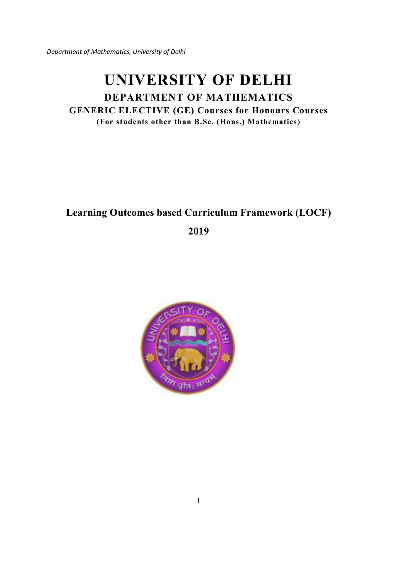# **UNIVERSITY OF DELHI**

# **DEPARTMENT OF MATHEMATICS GENERIC ELECTIVE (GE) Courses for Honours Courses (For students other than B.Sc. (Hons.) Mathematics)**

# **Learning Outcomes based Curriculum Framework (LOCF)**

**2019** 

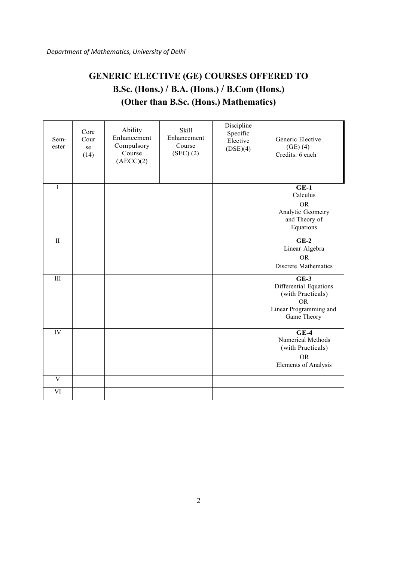# **GENERIC ELECTIVE (GE) COURSES OFFERED TO B.Sc. (Hons.) / B.A. (Hons.) / B.Com (Hons.) (Other than B.Sc. (Hons.) Mathematics)**

| Sem-<br>ester           | Core<br>Cour<br>se<br>(14) | Ability<br>Enhancement<br>Compulsory<br>Course<br>(AECC)(2) | Skill<br>Enhancement<br>Course<br>(SEC) (2) | Discipline<br>Specific<br>Elective<br>(DSE)(4) | Generic Elective<br>$(GE)$ $(4)$<br>Credits: 6 each                                                         |
|-------------------------|----------------------------|-------------------------------------------------------------|---------------------------------------------|------------------------------------------------|-------------------------------------------------------------------------------------------------------------|
| I                       |                            |                                                             |                                             |                                                | $GE-1$<br>Calculus                                                                                          |
|                         |                            |                                                             |                                             |                                                | <b>OR</b><br>Analytic Geometry<br>and Theory of<br>Equations                                                |
| $\rm II$                |                            |                                                             |                                             |                                                | $GE-2$<br>Linear Algebra                                                                                    |
|                         |                            |                                                             |                                             |                                                | <b>OR</b><br>Discrete Mathematics                                                                           |
| $\overline{III}$        |                            |                                                             |                                             |                                                | $GE-3$<br>Differential Equations<br>(with Practicals)<br><b>OR</b><br>Linear Programming and<br>Game Theory |
| IV                      |                            |                                                             |                                             |                                                | $GE-4$<br>Numerical Methods<br>(with Practicals)<br><b>OR</b><br><b>Elements of Analysis</b>                |
| $\overline{\mathbf{V}}$ |                            |                                                             |                                             |                                                |                                                                                                             |
| $\overline{\text{VI}}$  |                            |                                                             |                                             |                                                |                                                                                                             |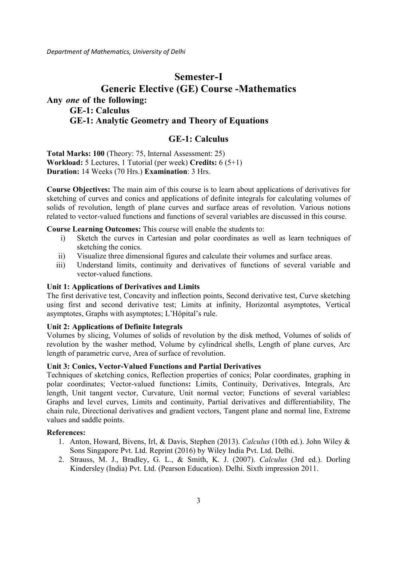# **Semester-I Generic Elective (GE) Course -Mathematics Any** *one* **of the following: GE-1: Calculus GE-1: Analytic Geometry and Theory of Equations**

# **GE-1: Calculus**

**Total Marks: 100** (Theory: 75, Internal Assessment: 25) **Workload:** 5 Lectures, 1 Tutorial (per week) **Credits:** 6 (5+1) **Duration:** 14 Weeks (70 Hrs.) **Examination**: 3 Hrs.

**Course Objectives:** The main aim of this course is to learn about applications of derivatives for sketching of curves and conics and applications of definite integrals for calculating volumes of solids of revolution, length of plane curves and surface areas of revolution. Various notions related to vector-valued functions and functions of several variables are discussed in this course.

**Course Learning Outcomes:** This course will enable the students to:

- i) Sketch the curves in Cartesian and polar coordinates as well as learn techniques of sketching the conics.
- ii) Visualize three dimensional figures and calculate their volumes and surface areas.
- iii) Understand limits, continuity and derivatives of functions of several variable and vector-valued functions.

#### **Unit 1: Applications of Derivatives and Limits**

The first derivative test, Concavity and inflection points, Second derivative test, Curve sketching using first and second derivative test; Limits at infinity, Horizontal asymptotes, Vertical asymptotes, Graphs with asymptotes; L'Hôpital's rule.

# **Unit 2: Applications of Definite Integrals**

Volumes by slicing, Volumes of solids of revolution by the disk method, Volumes of solids of revolution by the washer method, Volume by cylindrical shells, Length of plane curves, Arc length of parametric curve, Area of surface of revolution.

#### **Unit 3: Conics, Vector-Valued Functions and Partial Derivatives**

Techniques of sketching conics, Reflection properties of conics; Polar coordinates, graphing in polar coordinates; Vector-valued functions**:** Limits, Continuity, Derivatives, Integrals, Arc length, Unit tangent vector, Curvature, Unit normal vector; Functions of several variables**:** Graphs and level curves, Limits and continuity, Partial derivatives and differentiability, The chain rule, Directional derivatives and gradient vectors, Tangent plane and normal line, Extreme values and saddle points.

#### **References:**

- 1. Anton, Howard, Bivens, Irl, & Davis, Stephen (2013). *Calculus* (10th ed.). John Wiley & Sons Singapore Pvt. Ltd. Reprint (2016) by Wiley India Pvt. Ltd. Delhi.
- 2. Strauss, M. J., Bradley, G. L., & Smith, K. J. (2007). *Calculus* (3rd ed.). Dorling Kindersley (India) Pvt. Ltd. (Pearson Education). Delhi. Sixth impression 2011.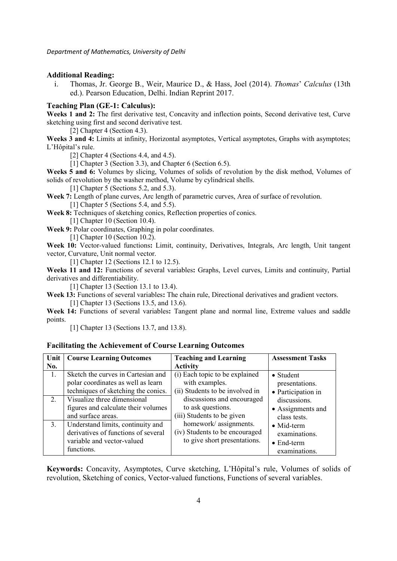#### **Additional Reading:**

i. Thomas, Jr. George B., Weir, Maurice D., & Hass, Joel (2014). *Thomas*' *Calculus* (13th ed.). Pearson Education, Delhi. Indian Reprint 2017.

### **Teaching Plan (GE-1: Calculus):**

**Weeks 1 and 2:** The first derivative test, Concavity and inflection points, Second derivative test, Curve sketching using first and second derivative test.

[2] Chapter 4 (Section 4.3).

**Weeks 3 and 4:** Limits at infinity, Horizontal asymptotes, Vertical asymptotes, Graphs with asymptotes; L'Hôpital's rule.

[2] Chapter 4 (Sections 4.4, and 4.5).

[1] Chapter 3 (Section 3.3), and Chapter 6 (Section 6.5).

Weeks 5 and 6: Volumes by slicing, Volumes of solids of revolution by the disk method, Volumes of solids of revolution by the washer method, Volume by cylindrical shells.

[1] Chapter 5 (Sections 5.2, and 5.3).

**Week 7:** Length of plane curves, Arc length of parametric curves, Area of surface of revolution. [1] Chapter 5 (Sections 5.4, and 5.5).

**Week 8:** Techniques of sketching conics, Reflection properties of conics.

[1] Chapter 10 (Section 10.4).

**Week 9:** Polar coordinates, Graphing in polar coordinates.

[1] Chapter 10 (Section 10.2).

**Week 10:** Vector-valued functions**:** Limit, continuity, Derivatives, Integrals, Arc length, Unit tangent vector, Curvature, Unit normal vector.

[1] Chapter 12 (Sections 12.1 to 12.5).

**Weeks 11 and 12:** Functions of several variables**:** Graphs, Level curves, Limits and continuity, Partial derivatives and differentiability.

[1] Chapter 13 (Section 13.1 to 13.4).

**Week 13:** Functions of several variables**:** The chain rule, Directional derivatives and gradient vectors. [1] Chapter 13 (Sections 13.5, and 13.6).

**Week 14:** Functions of several variables**:** Tangent plane and normal line, Extreme values and saddle points.

[1] Chapter 13 (Sections 13.7, and 13.8).

#### **Facilitating the Achievement of Course Learning Outcomes**

| Unit | <b>Course Learning Outcomes</b>                                                                                      | <b>Teaching and Learning</b>                                                            | <b>Assessment Tasks</b>                                                    |
|------|----------------------------------------------------------------------------------------------------------------------|-----------------------------------------------------------------------------------------|----------------------------------------------------------------------------|
| No.  |                                                                                                                      | <b>Activity</b>                                                                         |                                                                            |
| 1.   | Sketch the curves in Cartesian and<br>polar coordinates as well as learn                                             | (i) Each topic to be explained<br>with examples.                                        | $\bullet$ Student<br>presentations.                                        |
|      | techniques of sketching the conics.                                                                                  | (ii) Students to be involved in                                                         | • Participation in                                                         |
| 2.   | Visualize three dimensional<br>figures and calculate their volumes<br>and surface areas.                             | discussions and encouraged<br>to ask questions.<br>(iii) Students to be given           | discussions.<br>• Assignments and<br>class tests.                          |
| 3.   | Understand limits, continuity and<br>derivatives of functions of several<br>variable and vector-valued<br>functions. | homework/assignments.<br>(iv) Students to be encouraged<br>to give short presentations. | $\bullet$ Mid-term<br>examinations.<br>$\bullet$ End-term<br>examinations. |

**Keywords:** Concavity, Asymptotes, Curve sketching, L'Hôpital's rule, Volumes of solids of revolution, Sketching of conics, Vector-valued functions, Functions of several variables.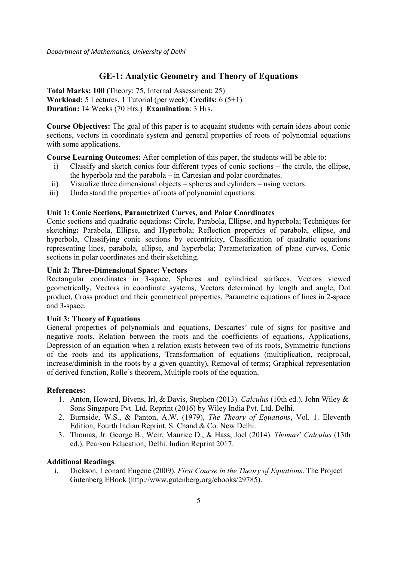# **GE-1: Analytic Geometry and Theory of Equations**

**Total Marks: 100** (Theory: 75, Internal Assessment: 25) **Workload:** 5 Lectures, 1 Tutorial (per week) **Credits:** 6 (5+1) **Duration:** 14 Weeks (70 Hrs.) **Examination**: 3 Hrs.

**Course Objectives:** The goal of this paper is to acquaint students with certain ideas about conic sections, vectors in coordinate system and general properties of roots of polynomial equations with some applications.

**Course Learning Outcomes:** After completion of this paper, the students will be able to:

- i) Classify and sketch conics four different types of conic sections the circle, the ellipse, the hyperbola and the parabola – in Cartesian and polar coordinates.
- ii) Visualize three dimensional objects spheres and cylinders using vectors.
- iii) Understand the properties of roots of polynomial equations.

#### **Unit 1: Conic Sections, Parametrized Curves, and Polar Coordinates**

Conic sections and quadratic equations**:** Circle, Parabola, Ellipse, and hyperbola; Techniques for sketching**:** Parabola, Ellipse, and Hyperbola; Reflection properties of parabola, ellipse, and hyperbola, Classifying conic sections by eccentricity, Classification of quadratic equations representing lines, parabola, ellipse, and hyperbola; Parameterization of plane curves, Conic sections in polar coordinates and their sketching.

# **Unit 2: Three-Dimensional Space: Vectors**

Rectangular coordinates in 3-space, Spheres and cylindrical surfaces, Vectors viewed geometrically, Vectors in coordinate systems, Vectors determined by length and angle, Dot product, Cross product and their geometrical properties, Parametric equations of lines in 2-space and 3-space.

#### **Unit 3: Theory of Equations**

General properties of polynomials and equations, Descartes' rule of signs for positive and negative roots, Relation between the roots and the coefficients of equations, Applications, Depression of an equation when a relation exists between two of its roots, Symmetric functions of the roots and its applications, Transformation of equations (multiplication, reciprocal, increase/diminish in the roots by a given quantity), Removal of terms; Graphical representation of derived function, Rolle's theorem, Multiple roots of the equation.

#### **References:**

- 1. Anton, Howard, Bivens, Irl, & Davis, Stephen (2013). *Calculus* (10th ed.). John Wiley & Sons Singapore Pvt. Ltd. Reprint (2016) by Wiley India Pvt. Ltd. Delhi.
- 2. Burnside, W.S., & Panton, A.W. (1979), *The Theory of Equations*, Vol. 1. Eleventh Edition, Fourth Indian Reprint. S. Chand & Co. New Delhi.
- 3. Thomas, Jr. George B., Weir, Maurice D., & Hass, Joel (2014). *Thomas*' *Calculus* (13th ed.). Pearson Education, Delhi. Indian Reprint 2017.

#### **Additional Readings**:

i. Dickson, Leonard Eugene (2009). *First Course in the Theory of Equations*. The Project Gutenberg EBook (http://www.gutenberg.org/ebooks/29785).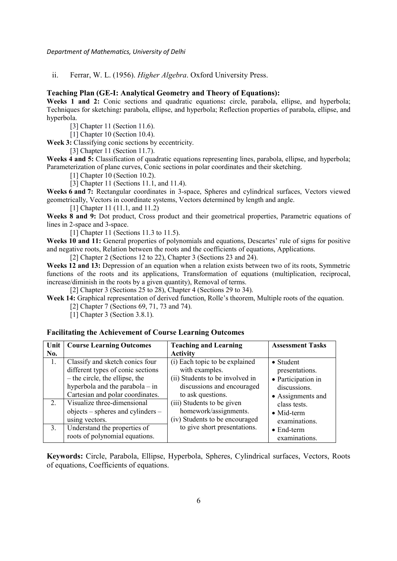ii. Ferrar, W. L. (1956). *Higher Algebra*. Oxford University Press.

#### **Teaching Plan (GE-I: Analytical Geometry and Theory of Equations):**

**Weeks 1 and 2:** Conic sections and quadratic equations**:** circle, parabola, ellipse, and hyperbola; Techniques for sketching**:** parabola, ellipse, and hyperbola; Reflection properties of parabola, ellipse, and hyperbola.

[3] Chapter 11 (Section 11.6).

[1] Chapter 10 (Section 10.4).

**Week 3:** Classifying conic sections by eccentricity.

[3] Chapter 11 (Section 11.7).

**Weeks 4 and 5:** Classification of quadratic equations representing lines, parabola, ellipse, and hyperbola; Parameterization of plane curves, Conic sections in polar coordinates and their sketching.

[1] Chapter 10 (Section 10.2).

[3] Chapter 11 (Sections 11.1, and 11.4).

**Weeks 6 and 7:** Rectangular coordinates in 3-space, Spheres and cylindrical surfaces, Vectors viewed geometrically, Vectors in coordinate systems, Vectors determined by length and angle.

[1] Chapter 11 (11.1, and 11.2)

**Weeks 8 and 9:** Dot product, Cross product and their geometrical properties, Parametric equations of lines in 2-space and 3-space.

[1] Chapter 11 (Sections 11.3 to 11.5).

**Weeks 10 and 11:** General properties of polynomials and equations, Descartes' rule of signs for positive and negative roots, Relation between the roots and the coefficients of equations, Applications.

[2] Chapter 2 (Sections 12 to 22), Chapter 3 (Sections 23 and 24).

**Weeks 12 and 13:** Depression of an equation when a relation exists between two of its roots, Symmetric functions of the roots and its applications, Transformation of equations (multiplication, reciprocal, increase/diminish in the roots by a given quantity), Removal of terms.

[2] Chapter 3 (Sections 25 to 28), Chapter 4 (Sections 29 to 34).

**Week 14:** Graphical representation of derived function, Rolle's theorem, Multiple roots of the equation.

[2] Chapter 7 (Sections 69, 71, 73 and 74).

[1] Chapter 3 (Section 3.8.1).

#### **Facilitating the Achievement of Course Learning Outcomes**

| Unit | <b>Course Learning Outcomes</b>   | <b>Teaching and Learning</b>    | <b>Assessment Tasks</b> |
|------|-----------------------------------|---------------------------------|-------------------------|
| No.  |                                   | <b>Activity</b>                 |                         |
| 1.   | Classify and sketch conics four   | (i) Each topic to be explained  | • Student               |
|      | different types of conic sections | with examples.                  | presentations.          |
|      | $-$ the circle, the ellipse, the  | (ii) Students to be involved in | • Participation in      |
|      | hyperbola and the parabola – in   | discussions and encouraged      | discussions.            |
|      | Cartesian and polar coordinates.  | to ask questions.               | • Assignments and       |
| 2.   | Visualize three-dimensional       | (iii) Students to be given      | class tests.            |
|      | objects – spheres and cylinders – | homework/assignments.           | $\bullet$ Mid-term      |
|      | using vectors.                    | (iv) Students to be encouraged  | examinations.           |
| 3.   | Understand the properties of      | to give short presentations.    | $\bullet$ End-term      |
|      | roots of polynomial equations.    |                                 | examinations.           |

**Keywords:** Circle, Parabola, Ellipse, Hyperbola, Spheres, Cylindrical surfaces, Vectors, Roots of equations, Coefficients of equations.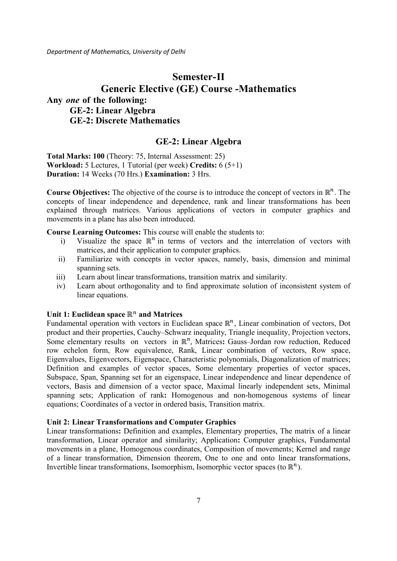# **Semester-II Generic Elective (GE) Course -Mathematics Any** *one* **of the following: GE-2: Linear Algebra GE-2: Discrete Mathematics**

# **GE-2: Linear Algebra**

**Total Marks: 100** (Theory: 75, Internal Assessment: 25) **Workload:** 5 Lectures, 1 Tutorial (per week) **Credits:** 6 (5+1) **Duration:** 14 Weeks (70 Hrs.) **Examination:** 3 Hrs.

**Course Objectives:** The objective of the course is to introduce the concept of vectors in  $\mathbb{R}^n$ . The concepts of linear independence and dependence, rank and linear transformations has been explained through matrices. Various applications of vectors in computer graphics and movements in a plane has also been introduced.

**Course Learning Outcomes:** This course will enable the students to:

- i) Visualize the space  $\mathbb{R}^n$  in terms of vectors and the interrelation of vectors with matrices, and their application to computer graphics.
- ii) Familiarize with concepts in vector spaces, namely, basis, dimension and minimal spanning sets.
- iii) Learn about linear transformations, transition matrix and similarity.
- iv) Learn about orthogonality and to find approximate solution of inconsistent system of linear equations.

# Unit 1: Euclidean space  $\mathbb{R}^n$  and Matrices

Fundamental operation with vectors in Euclidean space  $\mathbb{R}^n$ , Linear combination of vectors, Dot product and their properties, Cauchy–Schwarz inequality, Triangle inequality, Projection vectors, Some elementary results on vectors in ℝ<sup>n</sup>, Matrices: Gauss-Jordan row reduction, Reduced row echelon form, Row equivalence, Rank, Linear combination of vectors, Row space, Eigenvalues, Eigenvectors, Eigenspace, Characteristic polynomials, Diagonalization of matrices; Definition and examples of vector spaces, Some elementary properties of vector spaces, Subspace, Span, Spanning set for an eigenspace, Linear independence and linear dependence of vectors, Basis and dimension of a vector space, Maximal linearly independent sets, Minimal spanning sets; Application of rank**:** Homogenous and non-homogenous systems of linear equations; Coordinates of a vector in ordered basis, Transition matrix.

#### **Unit 2: Linear Transformations and Computer Graphics**

Linear transformations**:** Definition and examples, Elementary properties, The matrix of a linear transformation, Linear operator and similarity; Application**:** Computer graphics, Fundamental movements in a plane, Homogenous coordinates, Composition of movements; Kernel and range of a linear transformation, Dimension theorem, One to one and onto linear transformations, Invertible linear transformations, Isomorphism, Isomorphic vector spaces (to  $\mathbb{R}^n$ ).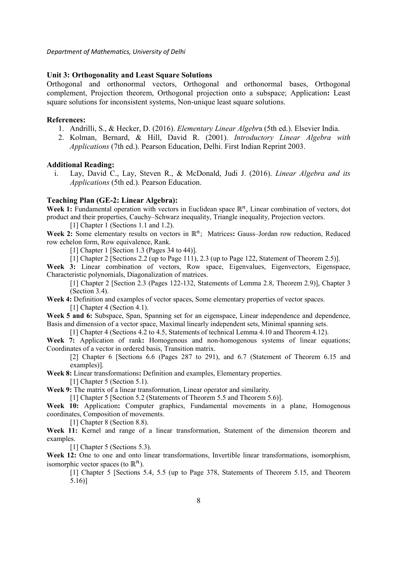#### **Unit 3: Orthogonality and Least Square Solutions**

Orthogonal and orthonormal vectors, Orthogonal and orthonormal bases, Orthogonal complement, Projection theorem, Orthogonal projection onto a subspace; Application**:** Least square solutions for inconsistent systems, Non-unique least square solutions.

#### **References:**

- 1. Andrilli, S., & Hecker, D. (2016). *Elementary Linear Algebr*a (5th ed.). Elsevier India.
- 2. Kolman, Bernard, & Hill, David R. (2001). *Introductory Linear Algebra with Applications* (7th ed.). Pearson Education, Delhi. First Indian Reprint 2003.

#### **Additional Reading:**

i. Lay, David C., Lay, Steven R., & McDonald, Judi J. (2016). *Linear Algebra and its Applications* (5th ed.). Pearson Education.

#### **Teaching Plan (GE-2: Linear Algebra):**

Week 1: Fundamental operation with vectors in Euclidean space ℝ<sup>n</sup>, Linear combination of vectors, dot product and their properties, Cauchy–Schwarz inequality, Triangle inequality, Projection vectors.

[1] Chapter 1 (Sections 1.1 and 1.2).

Week 2: Some elementary results on vectors in ℝ<sup>n</sup>; Matrices: Gauss–Jordan row reduction, Reduced row echelon form, Row equivalence, Rank.

[1] Chapter 1 [Section 1.3 (Pages 34 to 44)].

[1] Chapter 2 [Sections 2.2 (up to Page 111), 2.3 (up to Page 122, Statement of Theorem 2.5)].

Week 3: Linear combination of vectors, Row space, Eigenvalues, Eigenvectors, Eigenspace, Characteristic polynomials, Diagonalization of matrices.

[1] Chapter 2 [Section 2.3 (Pages 122-132, Statements of Lemma 2.8, Theorem 2.9)], Chapter 3 (Section 3.4).

**Week 4:** Definition and examples of vector spaces, Some elementary properties of vector spaces. [1] Chapter 4 (Section 4.1).

Week 5 and 6: Subspace, Span, Spanning set for an eigenspace, Linear independence and dependence, Basis and dimension of a vector space, Maximal linearly independent sets, Minimal spanning sets.

[1] Chapter 4 (Sections 4.2 to 4.5, Statements of technical Lemma 4.10 and Theorem 4.12).

**Week 7:** Application of rank**:** Homogenous and non-homogenous systems of linear equations; Coordinates of a vector in ordered basis, Transition matrix.

[2] Chapter 6 [Sections 6.6 (Pages 287 to 291), and 6.7 (Statement of Theorem 6.15 and examples)].

**Week 8:** Linear transformations**:** Definition and examples, Elementary properties.

[1] Chapter 5 (Section 5.1).

**Week 9:** The matrix of a linear transformation, Linear operator and similarity.

[1] Chapter 5 [Section 5.2 (Statements of Theorem 5.5 and Theorem 5.6)].

**Week 10:** Application**:** Computer graphics, Fundamental movements in a plane, Homogenous coordinates, Composition of movements.

[1] Chapter 8 (Section 8.8).

**Week 11:** Kernel and range of a linear transformation, Statement of the dimension theorem and examples.

[1] Chapter 5 (Sections 5.3).

Week 12: One to one and onto linear transformations, Invertible linear transformations, isomorphism, isomorphic vector spaces (to  $\mathbb{R}^n$ ).

[1] Chapter 5 [Sections 5.4, 5.5 (up to Page 378, Statements of Theorem 5.15, and Theorem 5.16)]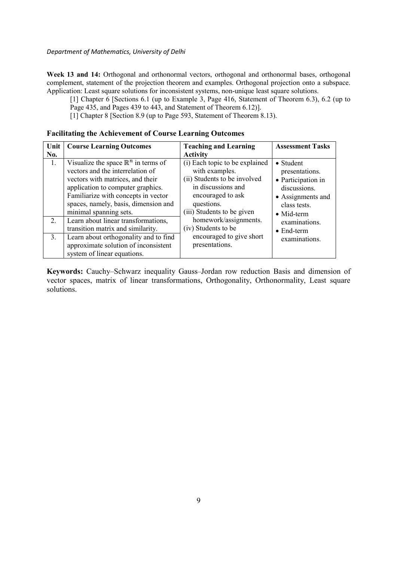Week 13 and 14: Orthogonal and orthonormal vectors, orthogonal and orthonormal bases, orthogonal complement, statement of the projection theorem and examples. Orthogonal projection onto a subspace. Application: Least square solutions for inconsistent systems, non-unique least square solutions.

[1] Chapter 6 [Sections 6.1 (up to Example 3, Page 416, Statement of Theorem 6.3), 6.2 (up to Page 435, and Pages 439 to 443, and Statement of Theorem 6.12)].

[1] Chapter 8 [Section 8.9 (up to Page 593, Statement of Theorem 8.13).

#### **Facilitating the Achievement of Course Learning Outcomes**

| Unit        | <b>Course Learning Outcomes</b>                                                                                                                                                                                                                                      | <b>Teaching and Learning</b>                                                                                                                                            | <b>Assessment Tasks</b>                                                                                                              |
|-------------|----------------------------------------------------------------------------------------------------------------------------------------------------------------------------------------------------------------------------------------------------------------------|-------------------------------------------------------------------------------------------------------------------------------------------------------------------------|--------------------------------------------------------------------------------------------------------------------------------------|
| No.         |                                                                                                                                                                                                                                                                      | <b>Activity</b>                                                                                                                                                         |                                                                                                                                      |
| 1.          | Visualize the space $\mathbb{R}^n$ in terms of<br>vectors and the interrelation of<br>vectors with matrices, and their<br>application to computer graphics.<br>Familiarize with concepts in vector<br>spaces, namely, basis, dimension and<br>minimal spanning sets. | (i) Each topic to be explained<br>with examples.<br>(ii) Students to be involved<br>in discussions and<br>encouraged to ask<br>questions.<br>(iii) Students to be given | $\bullet$ Student<br>presentations.<br>• Participation in<br>discussions.<br>• Assignments and<br>class tests.<br>$\bullet$ Mid-term |
| $2_{\cdot}$ | Learn about linear transformations,<br>transition matrix and similarity.                                                                                                                                                                                             | homework/assignments.<br>(iv) Students to be                                                                                                                            | examinations.<br>$\bullet$ End-term                                                                                                  |
| 3.          | Learn about orthogonality and to find<br>approximate solution of inconsistent<br>system of linear equations.                                                                                                                                                         | encouraged to give short<br>presentations.                                                                                                                              | examinations.                                                                                                                        |

**Keywords:** Cauchy–Schwarz inequality Gauss–Jordan row reduction Basis and dimension of vector spaces, matrix of linear transformations, Orthogonality, Orthonormality, Least square solutions.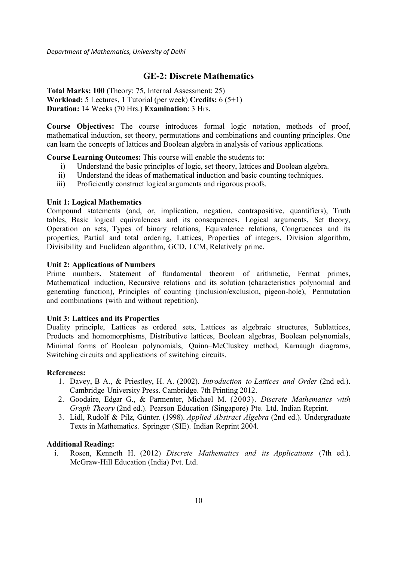## **GE-2: Discrete Mathematics**

**Total Marks: 100** (Theory: 75, Internal Assessment: 25) **Workload:** 5 Lectures, 1 Tutorial (per week) **Credits:** 6 (5+1) **Duration:** 14 Weeks (70 Hrs.) **Examination**: 3 Hrs.

**Course Objectives:** The course introduces formal logic notation, methods of proof, mathematical induction, set theory, permutations and combinations and counting principles. One can learn the concepts of lattices and Boolean algebra in analysis of various applications.

#### **Course Learning Outcomes:** This course will enable the students to:

- i) Understand the basic principles of logic, set theory, lattices and Boolean algebra.
- ii) Understand the ideas of mathematical induction and basic counting techniques.
- iii) Proficiently construct logical arguments and rigorous proofs.

#### **Unit 1: Logical Mathematics**

Compound statements (and, or, implication, negation, contrapositive, quantifiers), Truth tables, Basic logical equivalences and its consequences, Logical arguments, Set theory, Operation on sets, Types of binary relations, Equivalence relations, Congruences and its properties, Partial and total ordering, Lattices, Properties of integers, Division algorithm, Divisibility and Euclidean algorithm, GCD, LCM, Relatively prime.

#### **Unit 2: Applications of Numbers**

Prime numbers, Statement of fundamental theorem of arithmetic, Fermat primes, Mathematical induction, Recursive relations and its solution (characteristics polynomial and generating function), Principles of counting (inclusion/exclusion, pigeon-hole), Permutation and combinations (with and without repetition).

#### **Unit 3: Lattices and its Properties**

Duality principle, Lattices as ordered sets, Lattices as algebraic structures, Sublattices, Products and homomorphisms, Distributive lattices, Boolean algebras, Boolean polynomials, Minimal forms of Boolean polynomials, Quinn−McCluskey method, Karnaugh diagrams, Switching circuits and applications of switching circuits.

#### **References:**

- 1. Davey, B A., & Priestley, H. A. (2002). *Introduction to Lattices and Order* (2nd ed.). Cambridge University Press. Cambridge. 7th Printing 2012.
- 2. Goodaire, Edgar G., & Parmenter, Michael M. (2003). *Discrete Mathematics with Graph Theory* (2nd ed.). Pearson Education (Singapore) Pte. Ltd. Indian Reprint.
- 3. Lidl, Rudolf & Pilz, Günter. (1998). *Applied Abstract Algebra* (2nd ed.). Undergraduate Texts in Mathematics. Springer (SIE). Indian Reprint 2004.

#### **Additional Reading:**

i. Rosen, Kenneth H. (2012) *Discrete Mathematics and its Applications* (7th ed.). McGraw-Hill Education (India) Pvt. Ltd.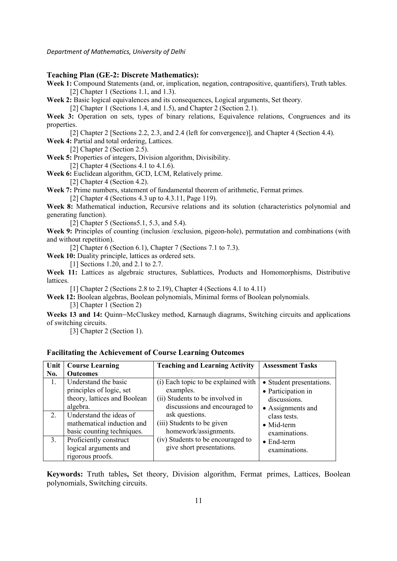#### **Teaching Plan (GE-2: Discrete Mathematics):**

**Week 1:** Compound Statements (and, or, implication, negation, contrapositive, quantifiers), Truth tables. [2] Chapter 1 (Sections 1.1, and 1.3).

**Week 2:** Basic logical equivalences and its consequences, Logical arguments, Set theory.

[2] Chapter 1 (Sections 1.4, and 1.5), and Chapter 2 (Section 2.1).

**Week 3:** Operation on sets, types of binary relations, Equivalence relations, Congruences and its properties.

[2] Chapter 2 [Sections 2.2, 2.3, and 2.4 (left for convergence)], and Chapter 4 (Section 4.4). **Week 4:** Partial and total ordering, Lattices.

[2] Chapter 2 (Section 2.5).

**Week 5:** Properties of integers, Division algorithm, Divisibility.

[2] Chapter 4 (Sections 4.1 to 4.1.6).

**Week 6:** Euclidean algorithm, GCD, LCM, Relatively prime.

[2] Chapter 4 (Section 4.2).

Week 7: Prime numbers, statement of fundamental theorem of arithmetic, Fermat primes.

[2] Chapter 4 (Sections 4.3 up to 4.3.11, Page 119).

**Week 8:** Mathematical induction, Recursive relations and its solution (characteristics polynomial and generating function).

[2] Chapter 5 (Sections 5.1, 5.3, and 5.4).

**Week 9:** Principles of counting (inclusion /exclusion, pigeon-hole), permutation and combinations (with and without repetition).

[2] Chapter 6 (Section 6.1), Chapter 7 (Sections 7.1 to 7.3).

**Week 10:** Duality principle, lattices as ordered sets.

[1] Sections 1.20, and 2.1 to 2.7.

**Week 11:** Lattices as algebraic structures, Sublattices, Products and Homomorphisms, Distributive lattices.

[1] Chapter 2 (Sections 2.8 to 2.19), Chapter 4 (Sections 4.1 to 4.11)

**Week 12:** Boolean algebras, Boolean polynomials, Minimal forms of Boolean polynomials. [3] Chapter 1 (Section 2)

**Weeks 13 and 14:** Quinn−McCluskey method, Karnaugh diagrams, Switching circuits and applications of switching circuits.

[3] Chapter 2 (Section 1).

| Unit | <b>Course Learning</b>                                                                       | <b>Teaching and Learning Activity</b>                                                                                | <b>Assessment Tasks</b>                                                             |
|------|----------------------------------------------------------------------------------------------|----------------------------------------------------------------------------------------------------------------------|-------------------------------------------------------------------------------------|
| No.  | <b>Outcomes</b>                                                                              |                                                                                                                      |                                                                                     |
| 1.   | Understand the basic<br>principles of logic, set<br>theory, lattices and Boolean<br>algebra. | (i) Each topic to be explained with<br>examples.<br>(ii) Students to be involved in<br>discussions and encouraged to | • Student presentations.<br>• Participation in<br>discussions.<br>• Assignments and |
| 2.   | Understand the ideas of<br>mathematical induction and<br>basic counting techniques.          | ask questions.<br>(iii) Students to be given<br>homework/assignments.                                                | class tests.<br>$\bullet$ Mid-term<br>examinations.                                 |
| 3.   | Proficiently construct<br>logical arguments and<br>rigorous proofs.                          | (iv) Students to be encouraged to<br>give short presentations.                                                       | $\bullet$ End-term<br>examinations.                                                 |

#### **Facilitating the Achievement of Course Learning Outcomes**

**Keywords:** Truth tables**,** Set theory, Division algorithm, Fermat primes, Lattices, Boolean polynomials, Switching circuits.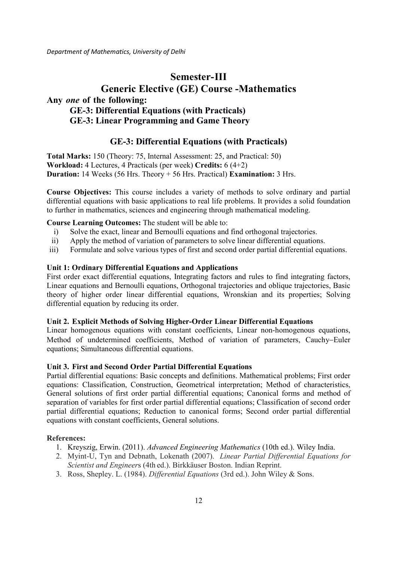# **Semester-III Generic Elective (GE) Course -Mathematics Any** *one* **of the following: GE-3: Differential Equations (with Practicals) GE-3: Linear Programming and Game Theory**

# **GE-3: Differential Equations (with Practicals)**

**Total Marks:** 150 (Theory: 75, Internal Assessment: 25, and Practical: 50) **Workload:** 4 Lectures, 4 Practicals (per week) **Credits:** 6 (4+2) **Duration:** 14 Weeks (56 Hrs. Theory + 56 Hrs. Practical) **Examination:** 3 Hrs.

**Course Objectives:** This course includes a variety of methods to solve ordinary and partial differential equations with basic applications to real life problems. It provides a solid foundation to further in mathematics, sciences and engineering through mathematical modeling.

#### **Course Learning Outcomes:** The student will be able to:

- i) Solve the exact, linear and Bernoulli equations and find orthogonal trajectories.
- ii) Apply the method of variation of parameters to solve linear differential equations.
- iii) Formulate and solve various types of first and second order partial differential equations.

#### **Unit 1: Ordinary Differential Equations and Applications**

First order exact differential equations, Integrating factors and rules to find integrating factors, Linear equations and Bernoulli equations, Orthogonal trajectories and oblique trajectories, Basic theory of higher order linear differential equations, Wronskian and its properties; Solving differential equation by reducing its order.

#### **Unit 2. Explicit Methods of Solving Higher-Order Linear Differential Equations**

Linear homogenous equations with constant coefficients, Linear non-homogenous equations, Method of undetermined coefficients, Method of variation of parameters, Cauchy−Euler equations; Simultaneous differential equations.

#### **Unit 3. First and Second Order Partial Differential Equations**

Partial differential equations: Basic concepts and definitions. Mathematical problems; First order equations: Classification, Construction, Geometrical interpretation; Method of characteristics, General solutions of first order partial differential equations; Canonical forms and method of separation of variables for first order partial differential equations; Classification of second order partial differential equations; Reduction to canonical forms; Second order partial differential equations with constant coefficients, General solutions.

#### **References:**

- 1. Kreyszig, Erwin. (2011). *Advanced Engineering Mathematics* (10th ed.). Wiley India.
- 2. Myint-U, Tyn and Debnath, Lokenath (2007). *Linear Partial Differential Equations for Scientist and Engineer*s (4th ed.). Birkkäuser Boston. Indian Reprint.
- 3. Ross, Shepley. L. (1984). *Differential Equations* (3rd ed.). John Wiley & Sons.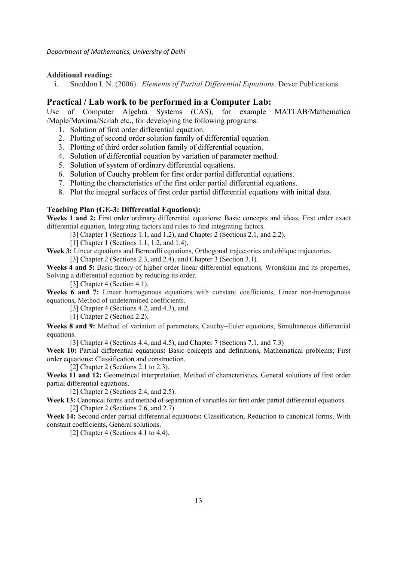#### **Additional reading:**

i. Sneddon I. N. (2006). *Elements of Partial Differential Equations*. Dover Publications.

### **Practical / Lab work to be performed in a Computer Lab:**

Use of Computer Algebra Systems (CAS), for example MATLAB/Mathematica /Maple/Maxima/Scilab etc., for developing the following programs:

- 1. Solution of first order differential equation.
- 2. Plotting of second order solution family of differential equation.
- 3. Plotting of third order solution family of differential equation.
- 4. Solution of differential equation by variation of parameter method.
- 5. Solution of system of ordinary differential equations.
- 6. Solution of Cauchy problem for first order partial differential equations.
- 7. Plotting the characteristics of the first order partial differential equations.
- 8. Plot the integral surfaces of first order partial differential equations with initial data.

#### **Teaching Plan (GE-3: Differential Equations):**

Weeks 1 and 2: First order ordinary differential equations: Basic concepts and ideas, First order exact differential equation, Integrating factors and rules to find integrating factors.

[3] Chapter 1 (Sections 1.1, and 1.2), and Chapter 2 (Sections 2.1, and 2.2).

[1] Chapter 1 (Sections 1.1, 1.2, and 1.4).

Week 3: Linear equations and Bernoulli equations, Orthogonal trajectories and oblique trajectories.

[3] Chapter 2 (Sections 2.3, and 2.4), and Chapter 3 (Section 3.1).

**Weeks 4 and 5:** Basic theory of higher order linear differential equations, Wronskian and its properties, Solving a differential equation by reducing its order.

[3] Chapter 4 (Section 4.1).

Weeks 6 and 7: Linear homogenous equations with constant coefficients, Linear non-homogenous equations, Method of undetermined coefficients.

[3] Chapter 4 (Sections 4.2, and 4.3), and

[1] Chapter 2 (Section 2.2).

**Weeks 8 and 9:** Method of variation of parameters, Cauchy−Euler equations, Simultaneous differential equations.

[3] Chapter 4 (Sections 4.4, and 4.5), and Chapter 7 (Sections 7.1, and 7.3)

Week 10: Partial differential equations: Basic concepts and definitions, Mathematical problems; First order equations**:** Classification and construction.

[2] Chapter 2 (Sections 2.1 to 2.3).

Weeks 11 and 12: Geometrical interpretation, Method of characteristics, General solutions of first order partial differential equations.

[2] Chapter 2 (Sections 2.4, and 2.5).

Week 13: Canonical forms and method of separation of variables for first order partial differential equations. [2] Chapter 2 (Sections 2.6, and 2.7)

**Week 14:** Second order partial differential equations**:** Classification, Reduction to canonical forms, With constant coefficients, General solutions.

[2] Chapter 4 (Sections 4.1 to 4.4).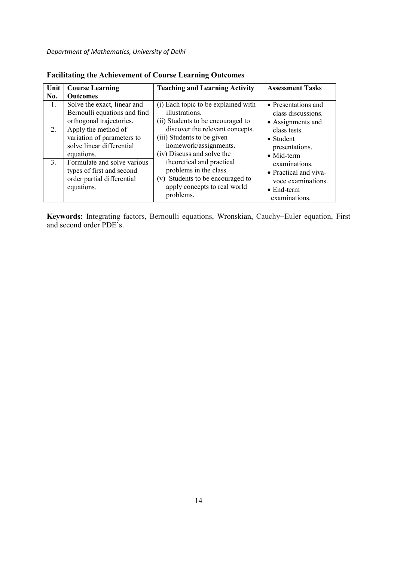| Unit           | <b>Course Learning</b>                                                                               | <b>Teaching and Learning Activity</b>                                                                                                | <b>Assessment Tasks</b>                                                                             |
|----------------|------------------------------------------------------------------------------------------------------|--------------------------------------------------------------------------------------------------------------------------------------|-----------------------------------------------------------------------------------------------------|
| No.            | <b>Outcomes</b>                                                                                      |                                                                                                                                      |                                                                                                     |
| 1.             | Solve the exact, linear and<br>Bernoulli equations and find<br>orthogonal trajectories.              | (i) Each topic to be explained with<br>illustrations.<br>(ii) Students to be encouraged to                                           | • Presentations and<br>class discussions.<br>• Assignments and                                      |
| $2_{1}$        | Apply the method of<br>variation of parameters to<br>solve linear differential<br>equations.         | discover the relevant concepts.<br>(iii) Students to be given<br>homework/assignments.<br>(iv) Discuss and solve the                 | class tests.<br>• Student<br>presentations.<br>$\bullet$ Mid-term                                   |
| 3 <sub>1</sub> | Formulate and solve various<br>types of first and second<br>order partial differential<br>equations. | theoretical and practical<br>problems in the class.<br>(v) Students to be encouraged to<br>apply concepts to real world<br>problems. | examinations.<br>• Practical and viva-<br>voce examinations.<br>$\bullet$ End-term<br>examinations. |

**Facilitating the Achievement of Course Learning Outcomes** 

**Keywords:** Integrating factors, Bernoulli equations, Wronskian, Cauchy−Euler equation, First and second order PDE's.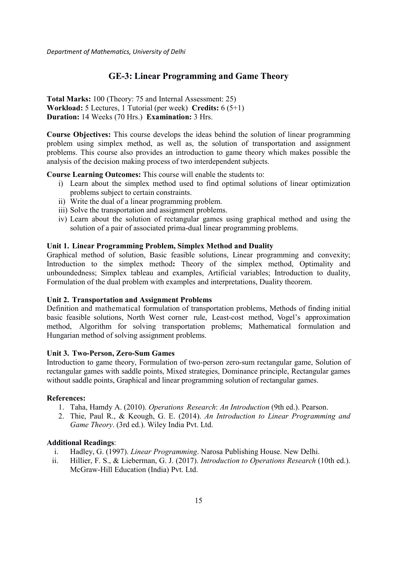# **GE-3: Linear Programming and Game Theory**

**Total Marks:** 100 (Theory: 75 and Internal Assessment: 25) **Workload:** 5 Lectures, 1 Tutorial (per week) **Credits:** 6 (5+1) **Duration:** 14 Weeks (70 Hrs.) **Examination:** 3 Hrs.

**Course Objectives:** This course develops the ideas behind the solution of linear programming problem using simplex method, as well as, the solution of transportation and assignment problems. This course also provides an introduction to game theory which makes possible the analysis of the decision making process of two interdependent subjects.

#### **Course Learning Outcomes:** This course will enable the students to:

- i) Learn about the simplex method used to find optimal solutions of linear optimization problems subject to certain constraints.
- ii) Write the dual of a linear programming problem.
- iii) Solve the transportation and assignment problems.
- iv) Learn about the solution of rectangular games using graphical method and using the solution of a pair of associated prima-dual linear programming problems.

### **Unit 1. Linear Programming Problem, Simplex Method and Duality**

Graphical method of solution, Basic feasible solutions, Linear programming and convexity; Introduction to the simplex method**:** Theory of the simplex method, Optimality and unboundedness; Simplex tableau and examples, Artificial variables; Introduction to duality, Formulation of the dual problem with examples and interpretations, Duality theorem.

#### **Unit 2. Transportation and Assignment Problems**

Definition and mathematical formulation of transportation problems, Methods of finding initial basic feasible solutions, North West corner rule, Least-cost method, Vogel's approximation method, Algorithm for solving transportation problems; Mathematical formulation and Hungarian method of solving assignment problems.

## **Unit 3. Two-Person, Zero-Sum Games**

Introduction to game theory, Formulation of two-person zero-sum rectangular game, Solution of rectangular games with saddle points, Mixed strategies, Dominance principle, Rectangular games without saddle points, Graphical and linear programming solution of rectangular games.

### **References:**

- 1. Taha, Hamdy A. (2010). *Operations Research*: *An Introduction* (9th ed.). Pearson.
- 2. Thie, Paul R., & Keough, G. E. (2014). *An Introduction to Linear Programming and Game Theory*. (3rd ed.). Wiley India Pvt. Ltd.

#### **Additional Readings**:

- i. Hadley, G. (1997). *Linear Programming*. Narosa Publishing House. New Delhi.
- ii. Hillier, F. S., & Lieberman, G. J. (2017). *Introduction to Operations Research* (10th ed.). McGraw-Hill Education (India) Pvt. Ltd.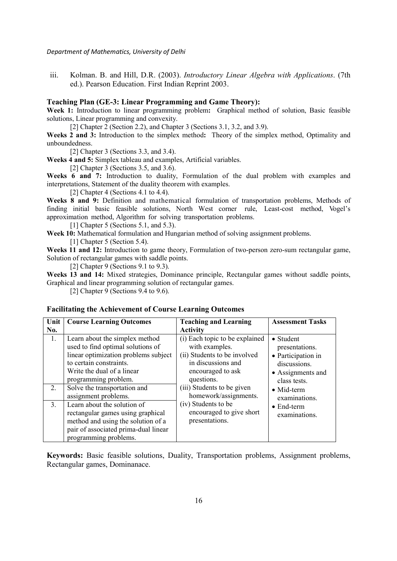iii. Kolman. B. and Hill, D.R. (2003). *Introductory Linear Algebra with Applications*. (7th ed.). Pearson Education. First Indian Reprint 2003.

#### **Teaching Plan (GE-3: Linear Programming and Game Theory):**

**Week 1:** Introduction to linear programming problem**:** Graphical method of solution, Basic feasible solutions, Linear programming and convexity.

[2] Chapter 2 (Section 2.2), and Chapter 3 (Sections 3.1, 3.2, and 3.9).

**Weeks 2 and 3:** Introduction to the simplex method**:** Theory of the simplex method, Optimality and unboundedness.

[2] Chapter 3 (Sections 3.3, and 3.4).

**Weeks 4 and 5:** Simplex tableau and examples, Artificial variables.

[2] Chapter 3 (Sections 3.5, and 3.6).

Weeks 6 and 7: Introduction to duality, Formulation of the dual problem with examples and interpretations, Statement of the duality theorem with examples.

[2] Chapter 4 (Sections 4.1 to 4.4).

**Weeks 8 and 9:** Definition and mathematical formulation of transportation problems, Methods of finding initial basic feasible solutions, North West corner rule, Least-cost method, Vogel's approximation method, Algorithm for solving transportation problems.

[1] Chapter 5 (Sections 5.1, and 5.3).

**Week 10:** Mathematical formulation and Hungarian method of solving assignment problems.

[1] Chapter 5 (Section 5.4).

**Weeks 11 and 12:** Introduction to game theory, Formulation of two-person zero-sum rectangular game, Solution of rectangular games with saddle points.

[2] Chapter 9 (Sections 9.1 to 9.3).

**Weeks 13 and 14:** Mixed strategies, Dominance principle, Rectangular games without saddle points, Graphical and linear programming solution of rectangular games.

[2] Chapter 9 (Sections 9.4 to 9.6).

#### **Facilitating the Achievement of Course Learning Outcomes**

| Unit           | <b>Course Learning Outcomes</b>                                                                                                                                                              | <b>Teaching and Learning</b>                                                                                                              | <b>Assessment Tasks</b>                                                                                        |
|----------------|----------------------------------------------------------------------------------------------------------------------------------------------------------------------------------------------|-------------------------------------------------------------------------------------------------------------------------------------------|----------------------------------------------------------------------------------------------------------------|
| No.            |                                                                                                                                                                                              | <b>Activity</b>                                                                                                                           |                                                                                                                |
| 1.             | Learn about the simplex method<br>used to find optimal solutions of<br>linear optimization problems subject<br>to certain constraints.<br>Write the dual of a linear<br>programming problem. | (i) Each topic to be explained<br>with examples.<br>(ii) Students to be involved<br>in discussions and<br>encouraged to ask<br>questions. | $\bullet$ Student<br>presentations.<br>• Participation in<br>discussions.<br>• Assignments and<br>class tests. |
| $2_{\cdot}$    | Solve the transportation and<br>assignment problems.                                                                                                                                         | (iii) Students to be given<br>homework/assignments.                                                                                       | $\bullet$ Mid-term<br>examinations.                                                                            |
| 3 <sub>1</sub> | Learn about the solution of<br>rectangular games using graphical<br>method and using the solution of a<br>pair of associated prima-dual linear<br>programming problems.                      | (iv) Students to be<br>encouraged to give short<br>presentations.                                                                         | $\bullet$ End-term<br>examinations.                                                                            |

**Keywords:** Basic feasible solutions, Duality, Transportation problems, Assignment problems, Rectangular games, Dominanace.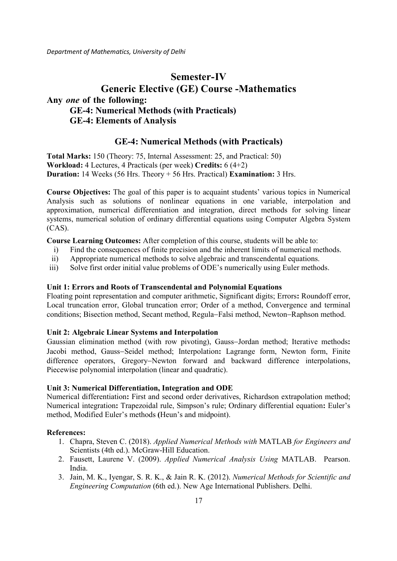# **Semester-IV Generic Elective (GE) Course -Mathematics Any** *one* **of the following: GE-4: Numerical Methods (with Practicals) GE-4: Elements of Analysis**

# **GE-4: Numerical Methods (with Practicals)**

**Total Marks:** 150 (Theory: 75, Internal Assessment: 25, and Practical: 50) **Workload:** 4 Lectures, 4 Practicals (per week) **Credits:** 6 (4+2) **Duration:** 14 Weeks (56 Hrs. Theory + 56 Hrs. Practical) **Examination:** 3 Hrs.

**Course Objectives:** The goal of this paper is to acquaint students' various topics in Numerical Analysis such as solutions of nonlinear equations in one variable, interpolation and approximation, numerical differentiation and integration, direct methods for solving linear systems, numerical solution of ordinary differential equations using Computer Algebra System (CAS).

**Course Learning Outcomes:** After completion of this course, students will be able to:

- i) Find the consequences of finite precision and the inherent limits of numerical methods.
- ii) Appropriate numerical methods to solve algebraic and transcendental equations.
- iii) Solve first order initial value problems of ODE's numerically using Euler methods.

#### **Unit 1: Errors and Roots of Transcendental and Polynomial Equations**

Floating point representation and computer arithmetic, Significant digits; Errors**:** Roundoff error, Local truncation error, Global truncation error; Order of a method, Convergence and terminal conditions; Bisection method, Secant method, Regula−Falsi method, Newton−Raphson method.

#### **Unit 2: Algebraic Linear Systems and Interpolation**

Gaussian elimination method (with row pivoting), Gauss−Jordan method; Iterative methods**:**  Jacobi method, Gauss−Seidel method; Interpolation**:** Lagrange form, Newton form, Finite difference operators, Gregory−Newton forward and backward difference interpolations, Piecewise polynomial interpolation (linear and quadratic).

#### **Unit 3: Numerical Differentiation, Integration and ODE**

Numerical differentiation**:** First and second order derivatives, Richardson extrapolation method; Numerical integration**:** Trapezoidal rule, Simpson's rule; Ordinary differential equation**:** Euler's method, Modified Euler's methods **(**Heun's and midpoint).

#### **References:**

- 1. Chapra, Steven C. (2018). *Applied 'umerical Methods with* MATLAB *for Engineers and*  Scientists (4th ed.). McGraw-Hill Education.
- 2. Fausett, Laurene V. (2009). *Applied 'umerical Analysis Using* MATLAB. Pearson. India.
- 3. Jain, M. K., Iyengar, S. R. K., & Jain R. K. (2012). *'umerical Methods for Scientific and Engineering Computation* (6th ed.). New Age International Publishers. Delhi.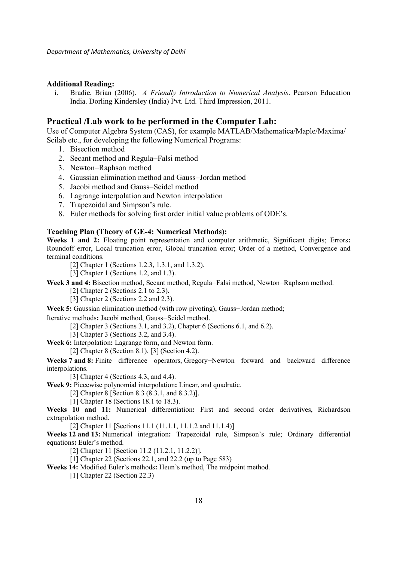#### **Additional Reading:**

i. Bradie, Brian (2006). *A Friendly Introduction to 'umerical Analysis*. Pearson Education India. Dorling Kindersley (India) Pvt. Ltd. Third Impression, 2011.

### **Practical /Lab work to be performed in the Computer Lab:**

Use of Computer Algebra System (CAS), for example MATLAB/Mathematica/Maple/Maxima/ Scilab etc., for developing the following Numerical Programs:

- 1. Bisection method
- 2. Secant method and Regula−Falsi method
- 3. Newton−Raphson method
- 4. Gaussian elimination method and Gauss−Jordan method
- 5. Jacobi method and Gauss−Seidel method
- 6. Lagrange interpolation and Newton interpolation
- 7. Trapezoidal and Simpson's rule.
- 8. Euler methods for solving first order initial value problems of ODE's.

#### **Teaching Plan (Theory of GE-4: Numerical Methods):**

**Weeks 1 and 2:** Floating point representation and computer arithmetic, Significant digits; Errors**:** Roundoff error, Local truncation error, Global truncation error; Order of a method, Convergence and terminal conditions.

[2] Chapter 1 (Sections 1.2.3, 1.3.1, and 1.3.2).

[3] Chapter 1 (Sections 1.2, and 1.3).

**Week 3 and 4:** Bisection method, Secant method, Regula−Falsi method, Newton−Raphson method.

[2] Chapter 2 (Sections 2.1 to 2.3).

 $\overline{[3]}$  Chapter 2 (Sections 2.2 and 2.3).

**Week 5:** Gaussian elimination method (with row pivoting), Gauss−Jordan method;

Iterative methods**:** Jacobi method, Gauss−Seidel method.

[2] Chapter 3 (Sections 3.1, and 3.2), Chapter 6 (Sections 6.1, and 6.2).

[3] Chapter 3 (Sections 3.2, and 3.4).

**Week 6:** Interpolation**:** Lagrange form, and Newton form.

[2] Chapter 8 (Section 8.1). [3] (Section 4.2).

**Weeks 7 and 8:** Finite difference operators, Gregory−Newton forward and backward difference interpolations.

[3] Chapter 4 (Sections 4.3, and 4.4).

**Week 9:** Piecewise polynomial interpolation**:** Linear, and quadratic.

[2] Chapter 8 [Section 8.3 (8.3.1, and 8.3.2)].

[1] Chapter 18 (Sections 18.1 to 18.3).

**Weeks 10 and 11:** Numerical differentiation**:** First and second order derivatives, Richardson extrapolation method.

[2] Chapter 11 [Sections 11.1 (11.1.1, 11.1.2 and 11.1.4)]

**Weeks 12 and 13:** Numerical integration**:** Trapezoidal rule, Simpson's rule; Ordinary differential equations**:** Euler's method.

[2] Chapter 11 [Section 11.2 (11.2.1, 11.2.2)].

[1] Chapter 22 (Sections 22.1, and 22.2 (up to Page 583)

**Weeks 14:** Modified Euler's methods**:** Heun's method, The midpoint method.

[1] Chapter 22 (Section 22.3)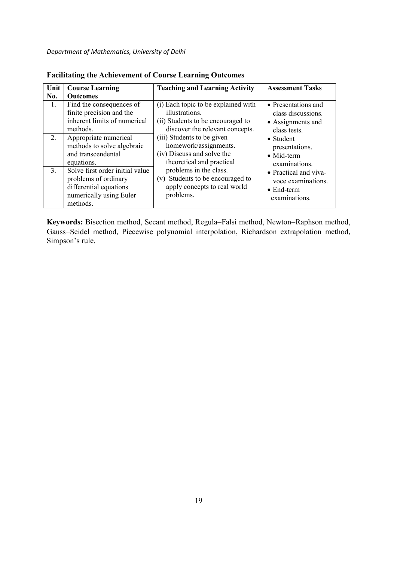| Unit             | <b>Course Learning</b>                                                                                                   | <b>Teaching and Learning Activity</b>                                                                                         | <b>Assessment Tasks</b>                                                            |
|------------------|--------------------------------------------------------------------------------------------------------------------------|-------------------------------------------------------------------------------------------------------------------------------|------------------------------------------------------------------------------------|
| No.              | <b>Outcomes</b>                                                                                                          |                                                                                                                               |                                                                                    |
| $\overline{1}$ . | Find the consequences of<br>finite precision and the<br>inherent limits of numerical<br>methods.                         | (i) Each topic to be explained with<br>illustrations.<br>(ii) Students to be encouraged to<br>discover the relevant concepts. | • Presentations and<br>class discussions.<br>• Assignments and<br>class tests.     |
| $2_{\cdot}$      | Appropriate numerical<br>methods to solve algebraic<br>and transcendental<br>equations.                                  | (iii) Students to be given<br>homework/assignments.<br>(iv) Discuss and solve the<br>theoretical and practical                | $\bullet$ Student<br>presentations.<br>$\bullet$ Mid-term<br>examinations.         |
| 3 <sub>1</sub>   | Solve first order initial value<br>problems of ordinary<br>differential equations<br>numerically using Euler<br>methods. | problems in the class.<br>(v) Students to be encouraged to<br>apply concepts to real world<br>problems.                       | • Practical and viva-<br>voce examinations.<br>$\bullet$ End-term<br>examinations. |

| <b>Facilitating the Achievement of Course Learning Outcomes</b> |  |  |  |  |
|-----------------------------------------------------------------|--|--|--|--|
|-----------------------------------------------------------------|--|--|--|--|

**Keywords:** Bisection method, Secant method, Regula−Falsi method, Newton−Raphson method, Gauss−Seidel method, Piecewise polynomial interpolation, Richardson extrapolation method, Simpson's rule.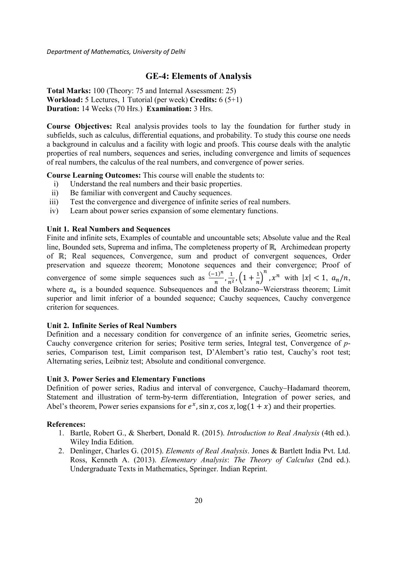### **GE-4: Elements of Analysis**

**Total Marks:** 100 (Theory: 75 and Internal Assessment: 25) **Workload:** 5 Lectures, 1 Tutorial (per week) **Credits:** 6 (5+1) **Duration:** 14 Weeks (70 Hrs.) **Examination:** 3 Hrs.

**Course Objectives:** Real analysis provides tools to lay the foundation for further study in subfields, such as calculus, differential equations, and probability. To study this course one needs a background in calculus and a facility with logic and proofs. This course deals with the analytic properties of real numbers, sequences and series, including convergence and limits of sequences of real numbers, the calculus of the real numbers, and convergence of power series.

**Course Learning Outcomes:** This course will enable the students to:

- i) Understand the real numbers and their basic properties.
- ii) Be familiar with convergent and Cauchy sequences.
- iii) Test the convergence and divergence of infinite series of real numbers.
- iv) Learn about power series expansion of some elementary functions.

#### **Unit 1. Real Numbers and Sequences**

Finite and infinite sets, Examples of countable and uncountable sets; Absolute value and the Real line, Bounded sets, Suprema and infima, The completeness property of ℝ, Archimedean property of ℝ; Real sequences, Convergence, sum and product of convergent sequences, Order preservation and squeeze theorem; Monotone sequences and their convergence; Proof of convergence of some simple sequences such as  $\frac{(-1)^n}{n}$  $\frac{(1)^n}{n}, \frac{1}{n^2}$  $\frac{1}{n^2}$ ,  $\left(1+\frac{1}{n}\right)$  $\int_{0}^{n}$ ,  $x^{n}$  with  $|x| < 1$ ,  $a_{n}/n$ , where  $a_n$  is a bounded sequence. Subsequences and the Bolzano–Weierstrass theorem; Limit superior and limit inferior of a bounded sequence; Cauchy sequences, Cauchy convergence criterion for sequences.

#### **Unit 2. Infinite Series of Real Numbers**

Definition and a necessary condition for convergence of an infinite series, Geometric series, Cauchy convergence criterion for series; Positive term series, Integral test, Convergence of *p*series, Comparison test, Limit comparison test, D'Alembert's ratio test, Cauchy's root test; Alternating series, Leibniz test; Absolute and conditional convergence.

#### **Unit 3. Power Series and Elementary Functions**

Definition of power series, Radius and interval of convergence, Cauchy−Hadamard theorem, Statement and illustration of term-by-term differentiation, Integration of power series, and Abel's theorem, Power series expansions for  $e^x$ , sin x, cos x,  $\log(1 + x)$  and their properties.

#### **References:**

- 1. Bartle, Robert G., & Sherbert, Donald R. (2015). *Introduction to Real Analysis* (4th ed.). Wiley India Edition.
- 2. Denlinger, Charles G. (2015). *Elements of Real Analysis*. Jones & Bartlett India Pvt. Ltd. Ross, Kenneth A. (2013). *Elementary Analysis*: *The Theory of Calculus* (2nd ed.). Undergraduate Texts in Mathematics, Springer. Indian Reprint.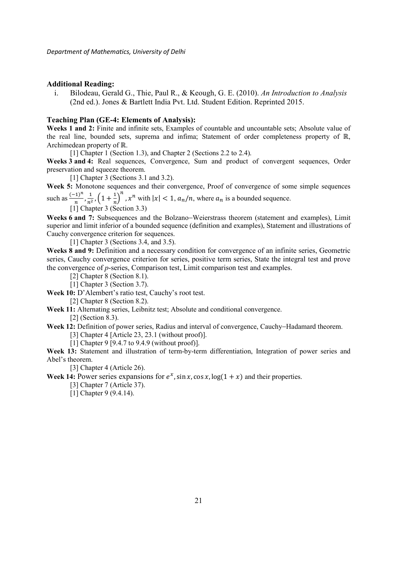#### **Additional Reading:**

i. Bilodeau, Gerald G., Thie, Paul R., & Keough, G. E. (2010). *An Introduction to Analysis* (2nd ed.). Jones & Bartlett India Pvt. Ltd. Student Edition. Reprinted 2015.

#### **Teaching Plan (GE-4: Elements of Analysis):**

**Weeks 1 and 2:** Finite and infinite sets, Examples of countable and uncountable sets; Absolute value of the real line, bounded sets, suprema and infima; Statement of order completeness property of ℝ, Archimedean property of ℝ.

[1] Chapter 1 (Section 1.3), and Chapter 2 (Sections 2.2 to 2.4).

**Weeks 3 and 4:** Real sequences, Convergence, Sum and product of convergent sequences, Order preservation and squeeze theorem.

[1] Chapter 3 (Sections 3.1 and 3.2).

**Week 5:** Monotone sequences and their convergence, Proof of convergence of some simple sequences such as  $\frac{(-1)^n}{n}$  $\frac{(1)^n}{n}, \frac{1}{n^2}$  $\frac{1}{n^2}$ ,  $\left(1+\frac{1}{n}\right)^n$ ,  $x^n$  with  $|x| < 1$ ,  $a_n/n$ , where  $a_n$  is a bounded sequence.

 $\prod_{1}^{11}$  Chapter 3 (Section 3.3)

**Weeks 6 and 7:** Subsequences and the Bolzano−Weierstrass theorem (statement and examples), Limit superior and limit inferior of a bounded sequence (definition and examples), Statement and illustrations of Cauchy convergence criterion for sequences.

[1] Chapter 3 (Sections 3.4, and 3.5).

**Weeks 8 and 9:** Definition and a necessary condition for convergence of an infinite series, Geometric series, Cauchy convergence criterion for series, positive term series, State the integral test and prove the convergence of *p*-series, Comparison test, Limit comparison test and examples.

[2] Chapter 8 (Section 8.1).

[1] Chapter 3 (Section 3.7).

**Week 10:** D'Alembert's ratio test, Cauchy's root test.

[2] Chapter 8 (Section 8.2).

**Week 11:** Alternating series, Leibnitz test; Absolute and conditional convergence.

[2] (Section 8.3).

**Week 12:** Definition of power series, Radius and interval of convergence, Cauchy−Hadamard theorem.

[3] Chapter 4 [Article 23, 23.1 (without proof)].

[1] Chapter 9 [9.4.7 to 9.4.9 (without proof)].

**Week 13:** Statement and illustration of term-by-term differentiation, Integration of power series and Abel's theorem.

[3] Chapter 4 (Article 26).

**Week 14:** Power series expansions for  $e^x$ , sin x, cos x,  $\log(1 + x)$  and their properties.

[3] Chapter 7 (Article 37).

[1] Chapter 9 (9.4.14).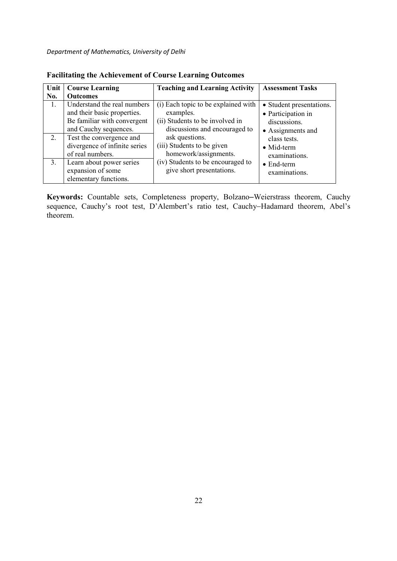| Unit | <b>Course Learning</b>                                                                                             | <b>Teaching and Learning Activity</b>                                                                                | <b>Assessment Tasks</b>                                                             |
|------|--------------------------------------------------------------------------------------------------------------------|----------------------------------------------------------------------------------------------------------------------|-------------------------------------------------------------------------------------|
| No.  | <b>Outcomes</b>                                                                                                    |                                                                                                                      |                                                                                     |
| 1.   | Understand the real numbers<br>and their basic properties.<br>Be familiar with convergent<br>and Cauchy sequences. | (i) Each topic to be explained with<br>examples.<br>(ii) Students to be involved in<br>discussions and encouraged to | • Student presentations.<br>• Participation in<br>discussions.<br>• Assignments and |
| 2.   | Test the convergence and<br>divergence of infinite series<br>of real numbers.                                      | ask questions.<br>(iii) Students to be given<br>homework/assignments.                                                | class tests.<br>$\bullet$ Mid-term<br>examinations.                                 |
| 3.   | Learn about power series<br>expansion of some<br>elementary functions.                                             | (iv) Students to be encouraged to<br>give short presentations.                                                       | $\bullet$ End-term<br>examinations.                                                 |

**Facilitating the Achievement of Course Learning Outcomes** 

**Keywords:** Countable sets, Completeness property, Bolzano–Weierstrass theorem, Cauchy sequence, Cauchy's root test, D'Alembert's ratio test, Cauchy−Hadamard theorem, Abel's theorem.